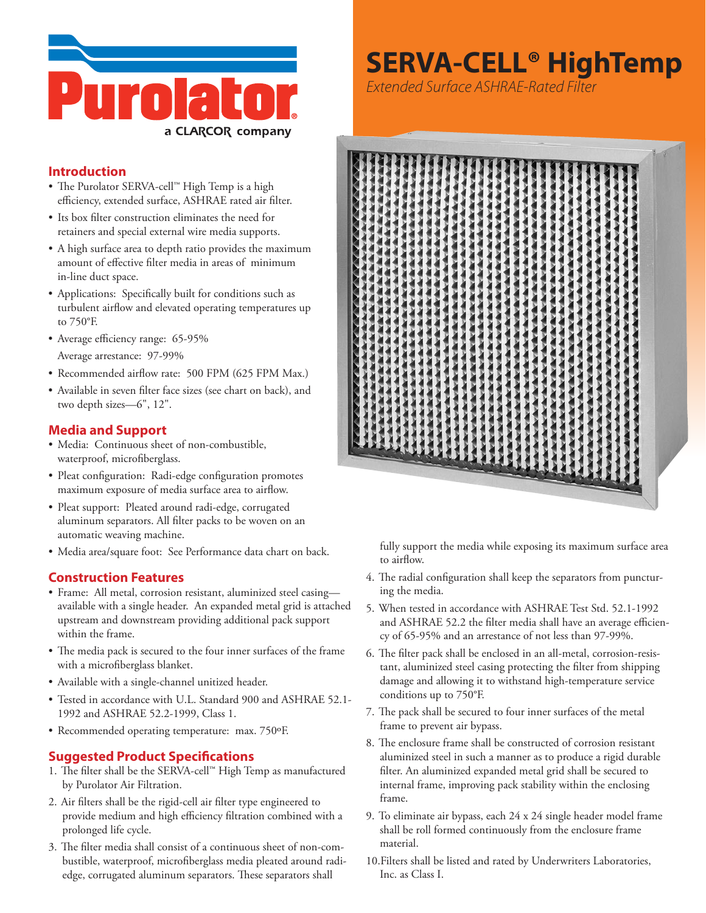

#### **Introduction**

- The Purolator SERVA-cell™ High Temp is a high efficiency, extended surface, ASHRAE rated air filter.
- Its box filter construction eliminates the need for retainers and special external wire media supports.
- A high surface area to depth ratio provides the maximum amount of effective filter media in areas of minimum in-line duct space.
- • Applications: Specifically built for conditions such as turbulent airflow and elevated operating temperatures up to 750°F.
- Average efficiency range: 65-95%
	- Average arrestance: 97-99%
- Recommended airflow rate: 500 FPM (625 FPM Max.)
- • Available in seven filter face sizes (see chart on back), and two depth sizes—6", 12".

#### **Media and Support**

- • Media: Continuous sheet of non-combustible, waterproof, microfiberglass.
- Pleat configuration: Radi-edge configuration promotes maximum exposure of media surface area to airflow.
- • Pleat support: Pleated around radi-edge, corrugated aluminum separators. All filter packs to be woven on an automatic weaving machine.
- Media area/square foot: See Performance data chart on back.

#### **Construction Features**

- • Frame: All metal, corrosion resistant, aluminized steel casing available with a single header. An expanded metal grid is attached upstream and downstream providing additional pack support within the frame.
- The media pack is secured to the four inner surfaces of the frame with a microfiberglass blanket.
- • Available with a single-channel unitized header.
- Tested in accordance with U.L. Standard 900 and ASHRAE 52.1-1992 and ASHRAE 52.2-1999, Class 1.
- Recommended operating temperature: max. 750°F.

#### **Suggested Product Specifications**

- 1. The filter shall be the SERVA-cell™ High Temp as manufactured by Purolator Air Filtration.
- 2. Air filters shall be the rigid-cell air filter type engineered to provide medium and high efficiency filtration combined with a prolonged life cycle.
- 3. The filter media shall consist of a continuous sheet of non-combustible, waterproof, microfiberglass media pleated around radiedge, corrugated aluminum separators. These separators shall

## **SERVA-CELL® HighTemp**

*Extended Surface ASHRAE-Rated Filter*



fully support the media while exposing its maximum surface area to airflow.

- 4. The radial configuration shall keep the separators from puncturing the media.
- 5. When tested in accordance with ASHRAE Test Std. 52.1-1992 and ASHRAE 52.2 the filter media shall have an average efficiency of 65-95% and an arrestance of not less than 97-99%.
- 6. The filter pack shall be enclosed in an all-metal, corrosion-resistant, aluminized steel casing protecting the filter from shipping damage and allowing it to withstand high-temperature service conditions up to 750°F.
- 7. The pack shall be secured to four inner surfaces of the metal frame to prevent air bypass.
- 8. The enclosure frame shall be constructed of corrosion resistant aluminized steel in such a manner as to produce a rigid durable filter. An aluminized expanded metal grid shall be secured to internal frame, improving pack stability within the enclosing frame.
- 9. To eliminate air bypass, each 24 x 24 single header model frame shall be roll formed continuously from the enclosure frame material.
- 10.Filters shall be listed and rated by Underwriters Laboratories, Inc. as Class I.